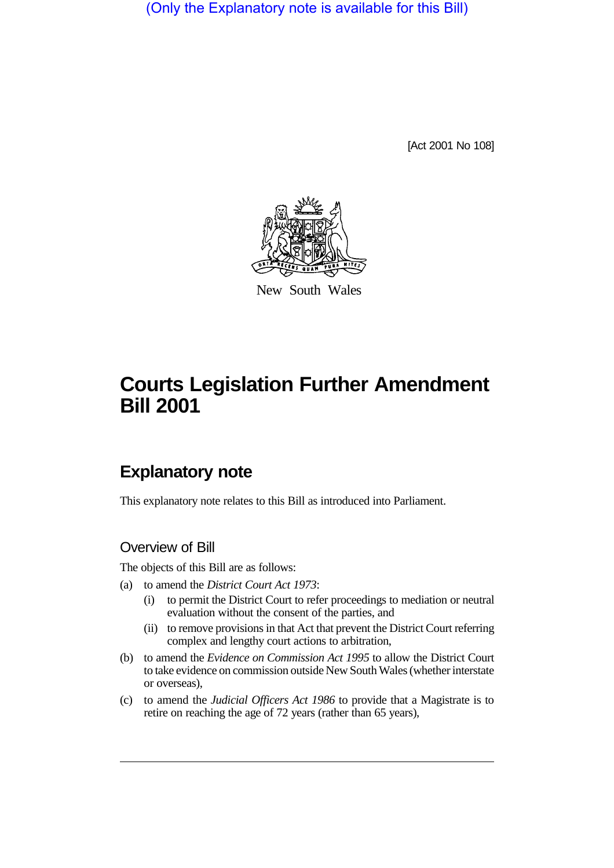(Only the Explanatory note is available for this Bill)

[Act 2001 No 108]



New South Wales

# **Courts Legislation Further Amendment Bill 2001**

# **Explanatory note**

This explanatory note relates to this Bill as introduced into Parliament.

#### Overview of Bill

The objects of this Bill are as follows:

- (a) to amend the *District Court Act 1973*:
	- (i) to permit the District Court to refer proceedings to mediation or neutral evaluation without the consent of the parties, and
	- (ii) to remove provisions in that Act that prevent the District Court referring complex and lengthy court actions to arbitration,
- (b) to amend the *Evidence on Commission Act 1995* to allow the District Court to take evidence on commission outside New South Wales (whether interstate or overseas),
- (c) to amend the *Judicial Officers Act 1986* to provide that a Magistrate is to retire on reaching the age of 72 years (rather than 65 years),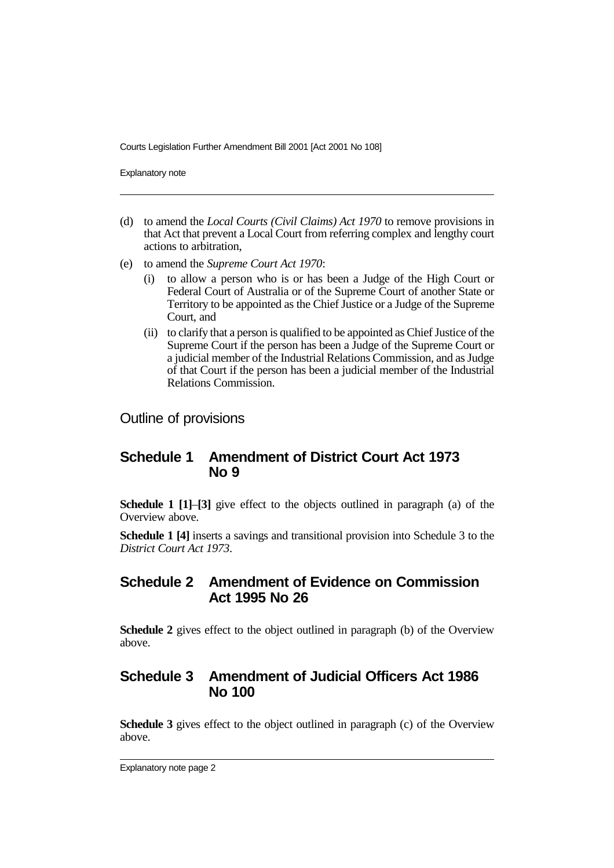Courts Legislation Further Amendment Bill 2001 [Act 2001 No 108]

Explanatory note

- (d) to amend the *Local Courts (Civil Claims) Act 1970* to remove provisions in that Act that prevent a Local Court from referring complex and lengthy court actions to arbitration,
- (e) to amend the *Supreme Court Act 1970*:
	- (i) to allow a person who is or has been a Judge of the High Court or Federal Court of Australia or of the Supreme Court of another State or Territory to be appointed as the Chief Justice or a Judge of the Supreme Court, and
	- (ii) to clarify that a person is qualified to be appointed as Chief Justice of the Supreme Court if the person has been a Judge of the Supreme Court or a judicial member of the Industrial Relations Commission, and as Judge of that Court if the person has been a judicial member of the Industrial Relations Commission.

Outline of provisions

# **Schedule 1 Amendment of District Court Act 1973 No 9**

**Schedule 1 [1]**–**[3]** give effect to the objects outlined in paragraph (a) of the Overview above.

**Schedule 1 [4]** inserts a savings and transitional provision into Schedule 3 to the *District Court Act 1973*.

#### **Schedule 2 Amendment of Evidence on Commission Act 1995 No 26**

**Schedule 2** gives effect to the object outlined in paragraph (b) of the Overview above.

# **Schedule 3 Amendment of Judicial Officers Act 1986 No 100**

**Schedule 3** gives effect to the object outlined in paragraph (c) of the Overview above.